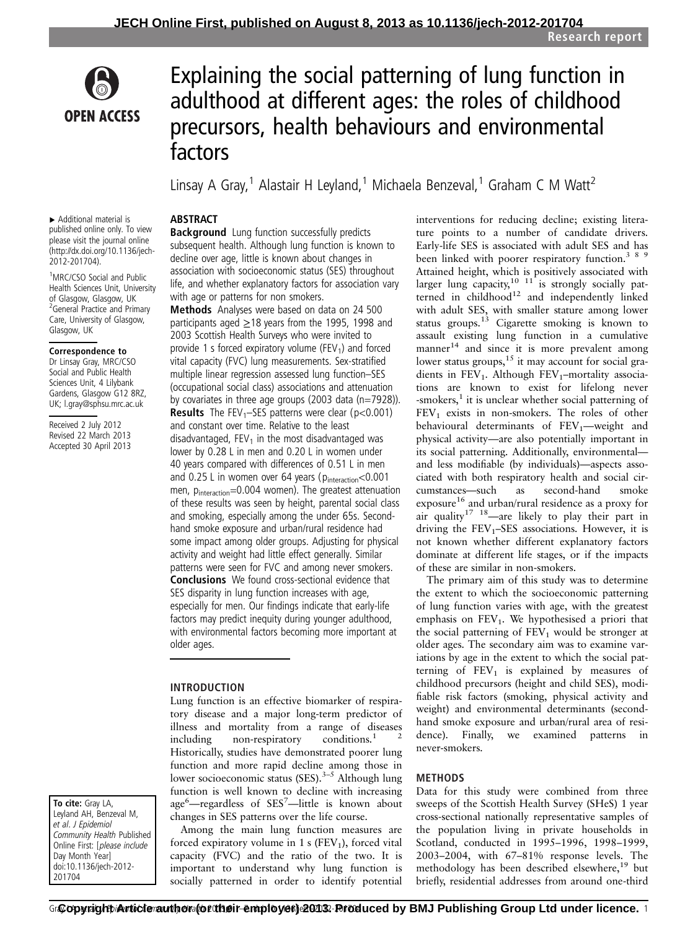

# Explaining the social patterning of lung function in adulthood at different ages: the roles of childhood precursors, health behaviours and environmental factors

Linsay A Gray,<sup>1</sup> Alastair H Leyland,<sup>1</sup> Michaela Benzeval,<sup>1</sup> Graham C M Watt<sup>2</sup>

#### ▸ Additional material is published online only. To view please visit the journal online [\(http://dx.doi.org/10.1136/jech-](http://dx.doi.org/10.1136/jech-2012-201704)[2012-201704\)](http://dx.doi.org/10.1136/jech-2012-201704).

<sup>1</sup>MRC/CSO Social and Public Health Sciences Unit, University of Glasgow, Glasgow, UK <sup>2</sup> General Practice and Primary Care, University of Glasgow, Glasgow, UK

#### Correspondence to

Dr Linsay Gray, MRC/CSO Social and Public Health Sciences Unit, 4 Lilybank Gardens, Glasgow G12 8RZ, UK; l.gray@sphsu.mrc.ac.uk

Received 2 July 2012 Revised 22 March 2013 Accepted 30 April 2013

# ABSTRACT

**Background** Lung function successfully predicts subsequent health. Although lung function is known to decline over age, little is known about changes in association with socioeconomic status (SES) throughout life, and whether explanatory factors for association vary with age or patterns for non smokers.

Methods Analyses were based on data on 24 500 participants aged  $\geq$ 18 years from the 1995, 1998 and 2003 Scottish Health Surveys who were invited to provide 1 s forced expiratory volume (FEV<sub>1</sub>) and forced vital capacity (FVC) lung measurements. Sex-stratified multiple linear regression assessed lung function–SES (occupational social class) associations and attenuation by covariates in three age groups (2003 data (n=7928)). **Results** The FEV<sub>1</sub>–SES patterns were clear ( $p$ <0.001) and constant over time. Relative to the least disadvantaged,  $FEV<sub>1</sub>$  in the most disadvantaged was lower by 0.28 L in men and 0.20 L in women under 40 years compared with differences of 0.51 L in men and  $0.25$  L in women over 64 years ( $p_{interaction} < 0.001$ men, p<sub>interaction</sub>=0.004 women). The greatest attenuation of these results was seen by height, parental social class and smoking, especially among the under 65s. Secondhand smoke exposure and urban/rural residence had some impact among older groups. Adjusting for physical activity and weight had little effect generally. Similar patterns were seen for FVC and among never smokers. Conclusions We found cross-sectional evidence that SES disparity in lung function increases with age, especially for men. Our findings indicate that early-life factors may predict inequity during younger adulthood, with environmental factors becoming more important at older ages.

## INTRODUCTION

Lung function is an effective biomarker of respiratory disease and a major long-term predictor of illness and mortality from a range of diseases  $including non-respiratory conditions.<sup>1</sup>$ Historically, studies have demonstrated poorer lung function and more rapid decline among those in lower socioeconomic status (SES).<sup>3–5</sup> Although lung function is well known to decline with increasing age<sup>6</sup>-regardless of SES<sup>7</sup>-little is known about changes in SES patterns over the life course.

Among the main lung function measures are forced expiratory volume in 1 s ( $FEV<sub>1</sub>$ ), forced vital capacity (FVC) and the ratio of the two. It is important to understand why lung function is socially patterned in order to identify potential

interventions for reducing decline; existing literature points to a number of candidate drivers. Early-life SES is associated with adult SES and has been linked with poorer respiratory function.<sup>389</sup> Attained height, which is positively associated with larger lung capacity,<sup>10</sup> <sup>11</sup> is strongly socially patterned in childhood<sup>12</sup> and independently linked with adult SES, with smaller stature among lower status groups.<sup>13</sup> Cigarette smoking is known to assault existing lung function in a cumulative manner<sup>14</sup> and since it is more prevalent among lower status groups,  $15$  it may account for social gradients in  $FEV_1$ . Although  $FEV_1$ -mortality associations are known to exist for lifelong never -smokers, $<sup>1</sup>$  it is unclear whether social patterning of</sup>  $FEV<sub>1</sub>$  exists in non-smokers. The roles of other behavioural determinants of  $FEV_1$ —weight and physical activity—are also potentially important in its social patterning. Additionally, environmental and less modifiable (by individuals)—aspects associated with both respiratory health and social circumstances—such as second-hand smoke exposure<sup>16</sup> and urban/rural residence as a proxy for air quality<sup>17</sup> <sup>18</sup>—are likely to play their part in driving the  $FEV_1-SES$  associations. However, it is not known whether different explanatory factors dominate at different life stages, or if the impacts of these are similar in non-smokers.

The primary aim of this study was to determine the extent to which the socioeconomic patterning of lung function varies with age, with the greatest emphasis on  $FEV<sub>1</sub>$ . We hypothesised a priori that the social patterning of  $FEV<sub>1</sub>$  would be stronger at older ages. The secondary aim was to examine variations by age in the extent to which the social patterning of  $FEV_1$  is explained by measures of childhood precursors (height and child SES), modifiable risk factors (smoking, physical activity and weight) and environmental determinants (secondhand smoke exposure and urban/rural area of residence). Finally, we examined patterns in never-smokers.

## METHODS

Data for this study were combined from three sweeps of the Scottish Health Survey (SHeS) 1 year cross-sectional nationally representative samples of the population living in private households in Scotland, conducted in 1995–1996, 1998–1999, 2003–2004, with 67–81% response levels. The methodology has been described elsewhere,<sup>19</sup> but briefly, residential addresses from around one-third

նա**Copyright Article author (or their employer) 2013։ Produced by BMJ Publishing Group Ltd under licence.** 1

To cite: Gray LA, Leyland AH, Benzeval M, et al. J Epidemiol Community Health Published Online First: [please include Day Month Year] doi:10.1136/jech-2012- 201704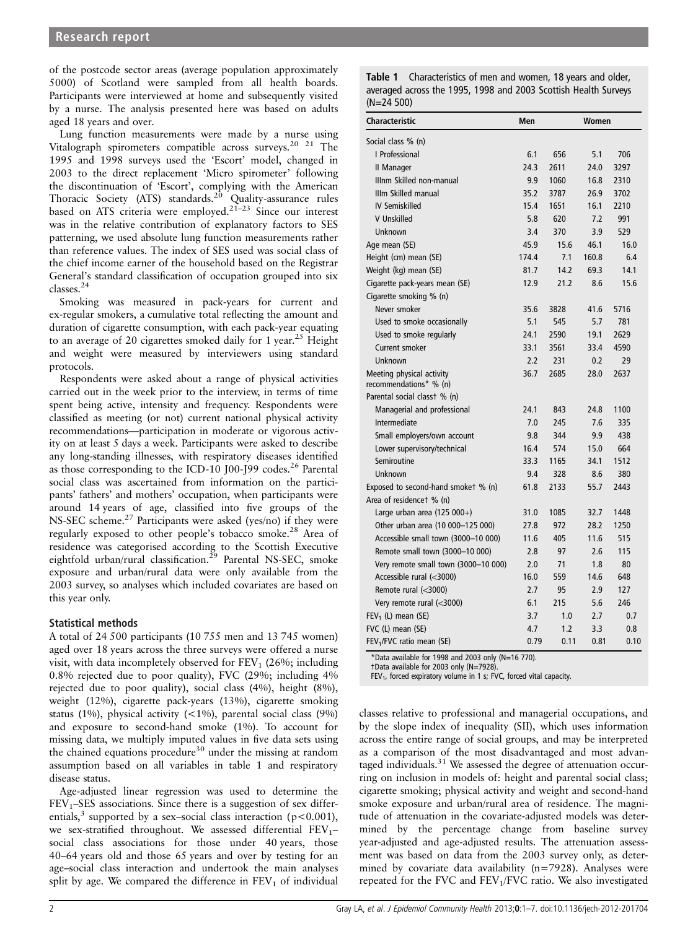of the postcode sector areas (average population approximately 5000) of Scotland were sampled from all health boards. Participants were interviewed at home and subsequently visited by a nurse. The analysis presented here was based on adults aged 18 years and over.

Lung function measurements were made by a nurse using Vitalograph spirometers compatible across surveys.<sup>20</sup> <sup>21</sup> The 1995 and 1998 surveys used the 'Escort' model, changed in 2003 to the direct replacement 'Micro spirometer' following the discontinuation of 'Escort', complying with the American Thoracic Society (ATS) standards.<sup>20</sup> Quality-assurance rules based on ATS criteria were employed. $21-23$  Since our interest was in the relative contribution of explanatory factors to SES patterning, we used absolute lung function measurements rather than reference values. The index of SES used was social class of the chief income earner of the household based on the Registrar General's standard classification of occupation grouped into six classes.<sup>24</sup>

Smoking was measured in pack-years for current and ex-regular smokers, a cumulative total reflecting the amount and duration of cigarette consumption, with each pack-year equating to an average of 20 cigarettes smoked daily for 1 year.<sup>25</sup> Height and weight were measured by interviewers using standard protocols.

Respondents were asked about a range of physical activities carried out in the week prior to the interview, in terms of time spent being active, intensity and frequency. Respondents were classified as meeting (or not) current national physical activity recommendations—participation in moderate or vigorous activity on at least 5 days a week. Participants were asked to describe any long-standing illnesses, with respiratory diseases identified as those corresponding to the ICD-10 J00-J99 codes.<sup>26</sup> Parental social class was ascertained from information on the participants' fathers' and mothers' occupation, when participants were around 14 years of age, classified into five groups of the NS-SEC scheme.<sup>27</sup> Participants were asked (yes/no) if they were regularly exposed to other people's tobacco smoke.<sup>28</sup> Area of residence was categorised according to the Scottish Executive eightfold urban/rural classification.<sup>29</sup> Parental NS-SEC, smoke exposure and urban/rural data were only available from the 2003 survey, so analyses which included covariates are based on this year only.

## Statistical methods

A total of 24 500 participants (10 755 men and 13 745 women) aged over 18 years across the three surveys were offered a nurse visit, with data incompletely observed for  $FEV<sub>1</sub>$  (26%; including 0.8% rejected due to poor quality), FVC (29%; including 4% rejected due to poor quality), social class (4%), height (8%), weight (12%), cigarette pack-years (13%), cigarette smoking status (1%), physical activity (<1%), parental social class (9%) and exposure to second-hand smoke (1%). To account for missing data, we multiply imputed values in five data sets using the chained equations procedure<sup>30</sup> under the missing at random assumption based on all variables in table 1 and respiratory disease status.

Age-adjusted linear regression was used to determine the  $FEV<sub>1</sub>–SES$  associations. Since there is a suggestion of sex differentials,<sup>3</sup> supported by a sex–social class interaction ( $p$ <0.001), we sex-stratified throughout. We assessed differential  $FEV_1$ social class associations for those under 40 years, those 40–64 years old and those 65 years and over by testing for an age–social class interaction and undertook the main analyses split by age. We compared the difference in  $FEV<sub>1</sub>$  of individual

Table 1 Characteristics of men and women, 18 years and older, averaged across the 1995, 1998 and 2003 Scottish Health Surveys  $(N=24, 500)$ 

| <b>Characteristic</b>                 | Men   |      | Women |      |  |  |  |
|---------------------------------------|-------|------|-------|------|--|--|--|
| Social class % (n)                    |       |      |       |      |  |  |  |
| I Professional                        | 6.1   | 656  | 5.1   | 706  |  |  |  |
| II Manager                            | 24.3  | 2611 | 24.0  | 3297 |  |  |  |
| Illnm Skilled non-manual              | 9.9   | 1060 | 16.8  | 2310 |  |  |  |
| IIIm Skilled manual                   | 35.2  | 3787 | 26.9  | 3702 |  |  |  |
| <b>IV Semiskilled</b>                 | 15.4  | 1651 | 16.1  | 2210 |  |  |  |
| V Unskilled                           | 5.8   | 620  | 7.2   | 991  |  |  |  |
| Unknown                               | 3.4   | 370  | 3.9   | 529  |  |  |  |
| Age mean (SE)                         | 45.9  | 15.6 | 46.1  | 16.0 |  |  |  |
| Height (cm) mean (SE)                 | 174.4 | 7.1  | 160.8 | 6.4  |  |  |  |
| Weight (kg) mean (SE)                 | 81.7  | 14.2 | 69.3  | 14.1 |  |  |  |
| Cigarette pack-years mean (SE)        | 12.9  | 21.2 | 8.6   | 15.6 |  |  |  |
| Cigarette smoking % (n)               |       |      |       |      |  |  |  |
| Never smoker                          | 35.6  | 3828 | 41.6  | 5716 |  |  |  |
| Used to smoke occasionally            | 5.1   | 545  | 5.7   | 781  |  |  |  |
| Used to smoke regularly               | 24.1  | 2590 | 19.1  | 2629 |  |  |  |
| <b>Current smoker</b>                 | 33.1  | 3561 | 33.4  | 4590 |  |  |  |
| Unknown                               | 2.2   | 231  | 0.2   | 29   |  |  |  |
| Meeting physical activity             | 36.7  | 2685 | 28.0  | 2637 |  |  |  |
| recommendations* % (n)                |       |      |       |      |  |  |  |
| Parental social class + % (n)         |       |      |       |      |  |  |  |
| Managerial and professional           | 24.1  | 843  | 24.8  | 1100 |  |  |  |
| Intermediate                          | 7.0   | 245  | 7.6   | 335  |  |  |  |
| Small employers/own account           | 9.8   | 344  | 9.9   | 438  |  |  |  |
| Lower supervisory/technical           | 16.4  | 574  | 15.0  | 664  |  |  |  |
| Semiroutine                           | 33.3  | 1165 | 34.1  | 1512 |  |  |  |
| Unknown                               | 9.4   | 328  | 8.6   | 380  |  |  |  |
| Exposed to second-hand smoket % (n)   | 61.8  | 2133 | 55.7  | 2443 |  |  |  |
| Area of residencet % (n)              |       |      |       |      |  |  |  |
| Large urban area $(125 000+)$         | 31.0  | 1085 | 32.7  | 1448 |  |  |  |
| Other urban area (10 000-125 000)     | 27.8  | 972  | 28.2  | 1250 |  |  |  |
| Accessible small town (3000-10 000)   | 11.6  | 405  | 11.6  | 515  |  |  |  |
| Remote small town (3000-10 000)       | 2.8   | 97   | 2.6   | 115  |  |  |  |
| Very remote small town (3000-10 000)  | 2.0   | 71   | 1.8   | 80   |  |  |  |
| Accessible rural (<3000)              | 16.0  | 559  | 14.6  | 648  |  |  |  |
| Remote rural (<3000)                  | 2.7   | 95   | 2.9   | 127  |  |  |  |
| Very remote rural (<3000)             | 6.1   | 215  | 5.6   | 246  |  |  |  |
| $FEV1$ (L) mean (SE)                  | 3.7   | 1.0  | 2.7   | 0.7  |  |  |  |
| FVC (L) mean (SE)                     | 4.7   | 1.2  | 3.3   | 0.8  |  |  |  |
| FEV <sub>1</sub> /FVC ratio mean (SE) | 0.79  | 0.11 | 0.81  | 0.10 |  |  |  |

\*Data available for 1998 and 2003 only (N=16 770).

†Data available for 2003 only (N=7928).

 $FEV<sub>1</sub>$ , forced expiratory volume in 1 s; FVC, forced vital capacity.

classes relative to professional and managerial occupations, and by the slope index of inequality (SII), which uses information across the entire range of social groups, and may be interpreted as a comparison of the most disadvantaged and most advantaged individuals. $31$  We assessed the degree of attenuation occurring on inclusion in models of: height and parental social class; cigarette smoking; physical activity and weight and second-hand smoke exposure and urban/rural area of residence. The magnitude of attenuation in the covariate-adjusted models was determined by the percentage change from baseline survey year-adjusted and age-adjusted results. The attenuation assessment was based on data from the 2003 survey only, as determined by covariate data availability (n=7928). Analyses were repeated for the FVC and  $FEV<sub>1</sub>/FVC$  ratio. We also investigated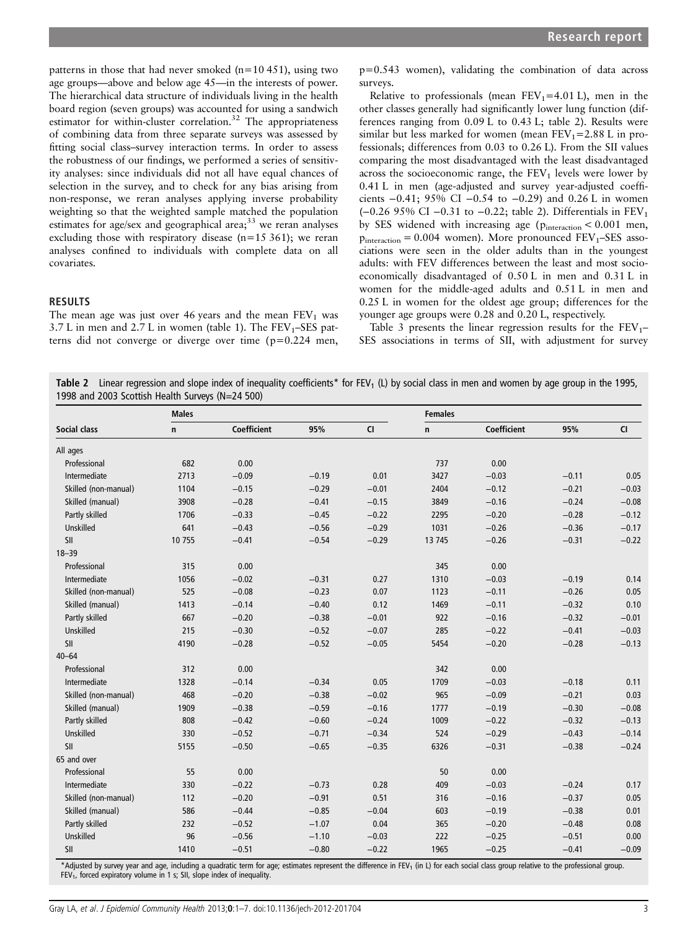patterns in those that had never smoked  $(n=10 451)$ , using two age groups—above and below age 45—in the interests of power. The hierarchical data structure of individuals living in the health board region (seven groups) was accounted for using a sandwich estimator for within-cluster correlation.<sup>32</sup> The appropriateness of combining data from three separate surveys was assessed by fitting social class–survey interaction terms. In order to assess the robustness of our findings, we performed a series of sensitivity analyses: since individuals did not all have equal chances of selection in the survey, and to check for any bias arising from non-response, we reran analyses applying inverse probability weighting so that the weighted sample matched the population estimates for age/sex and geographical area;<sup>33</sup> we reran analyses excluding those with respiratory disease (n=15 361); we reran analyses confined to individuals with complete data on all covariates.

#### RESULTS

The mean age was just over 46 years and the mean  $FEV<sub>1</sub>$  was 3.7 L in men and 2.7 L in women (table 1). The  $FEV_1-SES$  patterns did not converge or diverge over time  $(p=0.224$  men, p=0.543 women), validating the combination of data across surveys.

Relative to professionals (mean  $FEV_1=4.01$  L), men in the other classes generally had significantly lower lung function (differences ranging from 0.09 L to 0.43 L; table 2). Results were similar but less marked for women (mean  $FEV_1 = 2.88$  L in professionals; differences from 0.03 to 0.26 L). From the SII values comparing the most disadvantaged with the least disadvantaged across the socioeconomic range, the  $FEV<sub>1</sub>$  levels were lower by 0.41 L in men (age-adjusted and survey year-adjusted coefficients −0.41; 95% CI −0.54 to −0.29) and 0.26 L in women ( $-0.26$  95% CI  $-0.31$  to  $-0.22$ ; table 2). Differentials in FEV<sub>1</sub> by SES widened with increasing age (p<sub>interaction</sub> < 0.001 men,  $p_{interaction} = 0.004$  women). More pronounced  $FEV_1-SES$  associations were seen in the older adults than in the youngest adults: with FEV differences between the least and most socioeconomically disadvantaged of 0.50 L in men and 0.31 L in women for the middle-aged adults and 0.51 L in men and 0.25 L in women for the oldest age group; differences for the younger age groups were 0.28 and 0.20 L, respectively.

Table 3 presents the linear regression results for the  $FEV<sub>1</sub>$ SES associations in terms of SII, with adjustment for survey

Table 2 Linear regression and slope index of inequality coefficients\* for FEV<sub>1</sub> (L) by social class in men and women by age group in the 1995, 1998 and 2003 Scottish Health Surveys (N=24 500)

|                      | <b>Males</b> |                    |         | <b>Females</b> |              |                    |         |         |  |
|----------------------|--------------|--------------------|---------|----------------|--------------|--------------------|---------|---------|--|
| Social class         | $\mathsf{n}$ | <b>Coefficient</b> | 95%     | <b>CI</b>      | $\mathsf{n}$ | <b>Coefficient</b> | 95%     | C1      |  |
| All ages             |              |                    |         |                |              |                    |         |         |  |
| Professional         | 682          | 0.00               |         |                | 737          | 0.00               |         |         |  |
| Intermediate         | 2713         | $-0.09$            | $-0.19$ | 0.01           | 3427         | $-0.03$            | $-0.11$ | 0.05    |  |
| Skilled (non-manual) | 1104         | $-0.15$            | $-0.29$ | $-0.01$        | 2404         | $-0.12$            | $-0.21$ | $-0.03$ |  |
| Skilled (manual)     | 3908         | $-0.28$            | $-0.41$ | $-0.15$        | 3849         | $-0.16$            | $-0.24$ | $-0.08$ |  |
| Partly skilled       | 1706         | $-0.33$            | $-0.45$ | $-0.22$        | 2295         | $-0.20$            | $-0.28$ | $-0.12$ |  |
| Unskilled            | 641          | $-0.43$            | $-0.56$ | $-0.29$        | 1031         | $-0.26$            | $-0.36$ | $-0.17$ |  |
| SII                  | 10 755       | $-0.41$            | $-0.54$ | $-0.29$        | 13 7 45      | $-0.26$            | $-0.31$ | $-0.22$ |  |
| $18 - 39$            |              |                    |         |                |              |                    |         |         |  |
| Professional         | 315          | 0.00               |         |                | 345          | 0.00               |         |         |  |
| Intermediate         | 1056         | $-0.02$            | $-0.31$ | 0.27           | 1310         | $-0.03$            | $-0.19$ | 0.14    |  |
| Skilled (non-manual) | 525          | $-0.08$            | $-0.23$ | 0.07           | 1123         | $-0.11$            | $-0.26$ | 0.05    |  |
| Skilled (manual)     | 1413         | $-0.14$            | $-0.40$ | 0.12           | 1469         | $-0.11$            | $-0.32$ | 0.10    |  |
| Partly skilled       | 667          | $-0.20$            | $-0.38$ | $-0.01$        | 922          | $-0.16$            | $-0.32$ | $-0.01$ |  |
| Unskilled            | 215          | $-0.30$            | $-0.52$ | $-0.07$        | 285          | $-0.22$            | $-0.41$ | $-0.03$ |  |
| SII                  | 4190         | $-0.28$            | $-0.52$ | $-0.05$        | 5454         | $-0.20$            | $-0.28$ | $-0.13$ |  |
| $40 - 64$            |              |                    |         |                |              |                    |         |         |  |
| Professional         | 312          | 0.00               |         |                | 342          | 0.00               |         |         |  |
| Intermediate         | 1328         | $-0.14$            | $-0.34$ | 0.05           | 1709         | $-0.03$            | $-0.18$ | 0.11    |  |
| Skilled (non-manual) | 468          | $-0.20$            | $-0.38$ | $-0.02$        | 965          | $-0.09$            | $-0.21$ | 0.03    |  |
| Skilled (manual)     | 1909         | $-0.38$            | $-0.59$ | $-0.16$        | 1777         | $-0.19$            | $-0.30$ | $-0.08$ |  |
| Partly skilled       | 808          | $-0.42$            | $-0.60$ | $-0.24$        | 1009         | $-0.22$            | $-0.32$ | $-0.13$ |  |
| Unskilled            | 330          | $-0.52$            | $-0.71$ | $-0.34$        | 524          | $-0.29$            | $-0.43$ | $-0.14$ |  |
| SII                  | 5155         | $-0.50$            | $-0.65$ | $-0.35$        | 6326         | $-0.31$            | $-0.38$ | $-0.24$ |  |
| 65 and over          |              |                    |         |                |              |                    |         |         |  |
| Professional         | 55           | 0.00               |         |                | 50           | 0.00               |         |         |  |
| Intermediate         | 330          | $-0.22$            | $-0.73$ | 0.28           | 409          | $-0.03$            | $-0.24$ | 0.17    |  |
| Skilled (non-manual) | 112          | $-0.20$            | $-0.91$ | 0.51           | 316          | $-0.16$            | $-0.37$ | 0.05    |  |
| Skilled (manual)     | 586          | $-0.44$            | $-0.85$ | $-0.04$        | 603          | $-0.19$            | $-0.38$ | 0.01    |  |
| Partly skilled       | 232          | $-0.52$            | $-1.07$ | 0.04           | 365          | $-0.20$            | $-0.48$ | 0.08    |  |
| Unskilled            | 96           | $-0.56$            | $-1.10$ | $-0.03$        | 222          | $-0.25$            | $-0.51$ | 0.00    |  |
| SII                  | 1410         | $-0.51$            | $-0.80$ | $-0.22$        | 1965         | $-0.25$            | $-0.41$ | $-0.09$ |  |

\*Adjusted by survey year and age, including a quadratic term for age; estimates represent the difference in FEV1 (in L) for each social class group relative to the professional group. FEV<sub>1</sub>, forced expiratory volume in 1 s; SII, slope index of inequality.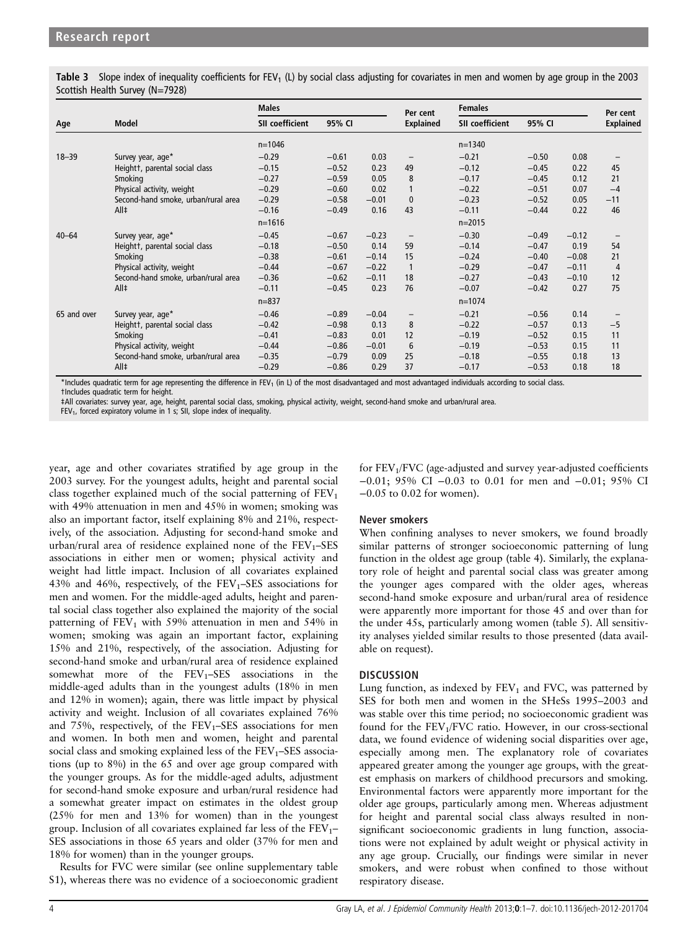Table 3 Slope index of inequality coefficients for FEV<sub>1</sub> (L) by social class adjusting for covariates in men and women by age group in the 2003 Scottish Health Survey (N=7928)

|             | Model                               | <b>Males</b>           |         |         | Per cent                 | <b>Females</b>  |         |         | Per cent         |
|-------------|-------------------------------------|------------------------|---------|---------|--------------------------|-----------------|---------|---------|------------------|
| Age         |                                     | <b>SII coefficient</b> | 95% CI  |         | <b>Explained</b>         | SII coefficient | 95% CI  |         | <b>Explained</b> |
|             |                                     | $n = 1046$             |         |         |                          | $n = 1340$      |         |         |                  |
| $18 - 39$   | Survey year, age*                   | $-0.29$                | $-0.61$ | 0.03    | $\overline{\phantom{m}}$ | $-0.21$         | $-0.50$ | 0.08    |                  |
|             | Heightt, parental social class      | $-0.15$                | $-0.52$ | 0.23    | 49                       | $-0.12$         | $-0.45$ | 0.22    | 45               |
|             | Smoking                             | $-0.27$                | $-0.59$ | 0.05    | 8                        | $-0.17$         | $-0.45$ | 0.12    | 21               |
|             | Physical activity, weight           | $-0.29$                | $-0.60$ | 0.02    |                          | $-0.22$         | $-0.51$ | 0.07    | $-4$             |
|             | Second-hand smoke, urban/rural area | $-0.29$                | $-0.58$ | $-0.01$ | $\mathbf{0}$             | $-0.23$         | $-0.52$ | 0.05    | $-11$            |
|             | $All+$                              | $-0.16$                | $-0.49$ | 0.16    | 43                       | $-0.11$         | $-0.44$ | 0.22    | 46               |
|             |                                     | $n=1616$               |         |         |                          | $n=2015$        |         |         |                  |
| $40 - 64$   | Survey year, age*                   | $-0.45$                | $-0.67$ | $-0.23$ | $\overline{\phantom{m}}$ | $-0.30$         | $-0.49$ | $-0.12$ |                  |
|             | Heightt, parental social class      | $-0.18$                | $-0.50$ | 0.14    | 59                       | $-0.14$         | $-0.47$ | 0.19    | 54               |
|             | Smoking                             | $-0.38$                | $-0.61$ | $-0.14$ | 15                       | $-0.24$         | $-0.40$ | $-0.08$ | 21               |
|             | Physical activity, weight           | $-0.44$                | $-0.67$ | $-0.22$ | $\overline{1}$           | $-0.29$         | $-0.47$ | $-0.11$ | 4                |
|             | Second-hand smoke, urban/rural area | $-0.36$                | $-0.62$ | $-0.11$ | 18                       | $-0.27$         | $-0.43$ | $-0.10$ | 12               |
|             | $All+$                              | $-0.11$                | $-0.45$ | 0.23    | 76                       | $-0.07$         | $-0.42$ | 0.27    | 75               |
|             |                                     | $n = 837$              |         |         |                          | $n = 1074$      |         |         |                  |
| 65 and over | Survey year, age*                   | $-0.46$                | $-0.89$ | $-0.04$ | $\qquad \qquad -$        | $-0.21$         | $-0.56$ | 0.14    |                  |
|             | Heightt, parental social class      | $-0.42$                | $-0.98$ | 0.13    | 8                        | $-0.22$         | $-0.57$ | 0.13    | $-5$             |
|             | Smoking                             | $-0.41$                | $-0.83$ | 0.01    | 12                       | $-0.19$         | $-0.52$ | 0.15    | 11               |
|             | Physical activity, weight           | $-0.44$                | $-0.86$ | $-0.01$ | 6                        | $-0.19$         | $-0.53$ | 0.15    | 11               |
|             | Second-hand smoke, urban/rural area | $-0.35$                | $-0.79$ | 0.09    | 25                       | $-0.18$         | $-0.55$ | 0.18    | 13               |
|             | $All+$                              | $-0.29$                | $-0.86$ | 0.29    | 37                       | $-0.17$         | $-0.53$ | 0.18    | 18               |

 $*$ Includes quadratic term for age representing the difference in FEV<sub>1</sub> (in L) of the most disadvantaged and most advantaged individuals according to social class. †Includes quadratic term for height.

‡All covariates: survey year, age, height, parental social class, smoking, physical activity, weight, second-hand smoke and urban/rural area.

FEV<sub>1</sub>, forced expiratory volume in 1 s; SII, slope index of inequality.

year, age and other covariates stratified by age group in the 2003 survey. For the youngest adults, height and parental social class together explained much of the social patterning of  $FEV<sub>1</sub>$ with 49% attenuation in men and 45% in women; smoking was also an important factor, itself explaining 8% and 21%, respectively, of the association. Adjusting for second-hand smoke and urban/rural area of residence explained none of the  $FEV<sub>1</sub>–SES$ associations in either men or women; physical activity and weight had little impact. Inclusion of all covariates explained 43% and 46%, respectively, of the  $FEV<sub>1</sub>–SES$  associations for men and women. For the middle-aged adults, height and parental social class together also explained the majority of the social patterning of  $FEV_1$  with 59% attenuation in men and 54% in women; smoking was again an important factor, explaining 15% and 21%, respectively, of the association. Adjusting for second-hand smoke and urban/rural area of residence explained somewhat more of the  $FEV<sub>1</sub>–SES$  associations in the middle-aged adults than in the youngest adults (18% in men and 12% in women); again, there was little impact by physical activity and weight. Inclusion of all covariates explained 76% and 75%, respectively, of the  $FEV<sub>1</sub>–SES$  associations for men and women. In both men and women, height and parental social class and smoking explained less of the  $FEV<sub>1</sub>–SES$  associations (up to 8%) in the 65 and over age group compared with the younger groups. As for the middle-aged adults, adjustment for second-hand smoke exposure and urban/rural residence had a somewhat greater impact on estimates in the oldest group (25% for men and 13% for women) than in the youngest group. Inclusion of all covariates explained far less of the  $FEV_1-$ SES associations in those 65 years and older (37% for men and 18% for women) than in the younger groups.

Results for FVC were similar (see online supplementary table S1), whereas there was no evidence of a socioeconomic gradient

for FEV<sub>1</sub>/FVC (age-adjusted and survey year-adjusted coefficients −0.01; 95% CI −0.03 to 0.01 for men and −0.01; 95% CI −0.05 to 0.02 for women).

## Never smokers

When confining analyses to never smokers, we found broadly similar patterns of stronger socioeconomic patterning of lung function in the oldest age group (table 4). Similarly, the explanatory role of height and parental social class was greater among the younger ages compared with the older ages, whereas second-hand smoke exposure and urban/rural area of residence were apparently more important for those 45 and over than for the under 45s, particularly among women (table 5). All sensitivity analyses yielded similar results to those presented (data available on request).

## **DISCUSSION**

Lung function, as indexed by  $FEV<sub>1</sub>$  and FVC, was patterned by SES for both men and women in the SHeSs 1995–2003 and was stable over this time period; no socioeconomic gradient was found for the  $FEV<sub>1</sub>/FVC$  ratio. However, in our cross-sectional data, we found evidence of widening social disparities over age, especially among men. The explanatory role of covariates appeared greater among the younger age groups, with the greatest emphasis on markers of childhood precursors and smoking. Environmental factors were apparently more important for the older age groups, particularly among men. Whereas adjustment for height and parental social class always resulted in nonsignificant socioeconomic gradients in lung function, associations were not explained by adult weight or physical activity in any age group. Crucially, our findings were similar in never smokers, and were robust when confined to those without respiratory disease.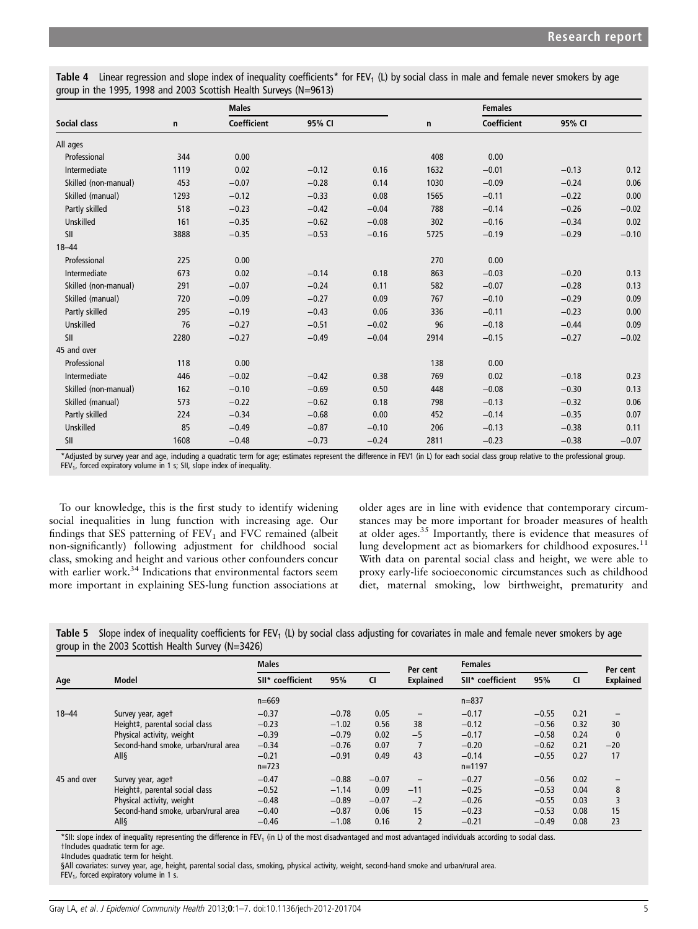Table 4 Linear regression and slope index of inequality coefficients\* for FEV<sub>1</sub> (L) by social class in male and female never smokers by age group in the 1995, 1998 and 2003 Scottish Health Surveys (N=9613)

|                      |      | <b>Males</b>       |         |         |      | <b>Females</b>     |         |         |
|----------------------|------|--------------------|---------|---------|------|--------------------|---------|---------|
| Social class         | n    | <b>Coefficient</b> | 95% CI  |         | n    | <b>Coefficient</b> | 95% CI  |         |
| All ages             |      |                    |         |         |      |                    |         |         |
| Professional         | 344  | 0.00               |         |         | 408  | 0.00               |         |         |
| Intermediate         | 1119 | 0.02               | $-0.12$ | 0.16    | 1632 | $-0.01$            | $-0.13$ | 0.12    |
| Skilled (non-manual) | 453  | $-0.07$            | $-0.28$ | 0.14    | 1030 | $-0.09$            | $-0.24$ | 0.06    |
| Skilled (manual)     | 1293 | $-0.12$            | $-0.33$ | 0.08    | 1565 | $-0.11$            | $-0.22$ | 0.00    |
| Partly skilled       | 518  | $-0.23$            | $-0.42$ | $-0.04$ | 788  | $-0.14$            | $-0.26$ | $-0.02$ |
| Unskilled            | 161  | $-0.35$            | $-0.62$ | $-0.08$ | 302  | $-0.16$            | $-0.34$ | 0.02    |
| SII                  | 3888 | $-0.35$            | $-0.53$ | $-0.16$ | 5725 | $-0.19$            | $-0.29$ | $-0.10$ |
| $18 - 44$            |      |                    |         |         |      |                    |         |         |
| Professional         | 225  | 0.00               |         |         | 270  | 0.00               |         |         |
| Intermediate         | 673  | 0.02               | $-0.14$ | 0.18    | 863  | $-0.03$            | $-0.20$ | 0.13    |
| Skilled (non-manual) | 291  | $-0.07$            | $-0.24$ | 0.11    | 582  | $-0.07$            | $-0.28$ | 0.13    |
| Skilled (manual)     | 720  | $-0.09$            | $-0.27$ | 0.09    | 767  | $-0.10$            | $-0.29$ | 0.09    |
| Partly skilled       | 295  | $-0.19$            | $-0.43$ | 0.06    | 336  | $-0.11$            | $-0.23$ | 0.00    |
| Unskilled            | 76   | $-0.27$            | $-0.51$ | $-0.02$ | 96   | $-0.18$            | $-0.44$ | 0.09    |
| SII                  | 2280 | $-0.27$            | $-0.49$ | $-0.04$ | 2914 | $-0.15$            | $-0.27$ | $-0.02$ |
| 45 and over          |      |                    |         |         |      |                    |         |         |
| Professional         | 118  | 0.00               |         |         | 138  | 0.00               |         |         |
| Intermediate         | 446  | $-0.02$            | $-0.42$ | 0.38    | 769  | 0.02               | $-0.18$ | 0.23    |
| Skilled (non-manual) | 162  | $-0.10$            | $-0.69$ | 0.50    | 448  | $-0.08$            | $-0.30$ | 0.13    |
| Skilled (manual)     | 573  | $-0.22$            | $-0.62$ | 0.18    | 798  | $-0.13$            | $-0.32$ | 0.06    |
| Partly skilled       | 224  | $-0.34$            | $-0.68$ | 0.00    | 452  | $-0.14$            | $-0.35$ | 0.07    |
| Unskilled            | 85   | $-0.49$            | $-0.87$ | $-0.10$ | 206  | $-0.13$            | $-0.38$ | 0.11    |
| SII                  | 1608 | $-0.48$            | $-0.73$ | $-0.24$ | 2811 | $-0.23$            | $-0.38$ | $-0.07$ |

Adjusted by survey year and age, including a quadratic term for age; estimates represent the difference in FEV1 (in L) for each social class group relative to the professional group. FEV<sub>1</sub>, forced expiratory volume in 1 s; SII, slope index of inequality.

To our knowledge, this is the first study to identify widening social inequalities in lung function with increasing age. Our findings that SES patterning of  $FEV<sub>1</sub>$  and FVC remained (albeit non-significantly) following adjustment for childhood social class, smoking and height and various other confounders concur with earlier work.<sup>34</sup> Indications that environmental factors seem more important in explaining SES-lung function associations at older ages are in line with evidence that contemporary circumstances may be more important for broader measures of health at older ages.<sup>35</sup> Importantly, there is evidence that measures of lung development act as biomarkers for childhood exposures.<sup>11</sup> With data on parental social class and height, we were able to proxy early-life socioeconomic circumstances such as childhood diet, maternal smoking, low birthweight, prematurity and

Table 5 Slope index of inequality coefficients for  $FEV<sub>1</sub>$  (L) by social class adjusting for covariates in male and female never smokers by age group in the 2003 Scottish Health Survey (N=3426)

| Age         | Model                               | <b>Males</b>     |         |           | Per cent          | <b>Females</b>   |         |           | Per cent         |
|-------------|-------------------------------------|------------------|---------|-----------|-------------------|------------------|---------|-----------|------------------|
|             |                                     | SII* coefficient | 95%     | <b>CI</b> | <b>Explained</b>  | SII* coefficient | 95%     | <b>CI</b> | <b>Explained</b> |
|             |                                     | $n = 669$        |         |           |                   | $n = 837$        |         |           |                  |
| $18 - 44$   | Survey year, aget                   | $-0.37$          | $-0.78$ | 0.05      | $\qquad \qquad -$ | $-0.17$          | $-0.55$ | 0.21      |                  |
|             | Height‡, parental social class      | $-0.23$          | $-1.02$ | 0.56      | 38                | $-0.12$          | $-0.56$ | 0.32      | 30               |
|             | Physical activity, weight           | $-0.39$          | $-0.79$ | 0.02      | $-5$              | $-0.17$          | $-0.58$ | 0.24      | $\mathbf{0}$     |
|             | Second-hand smoke, urban/rural area | $-0.34$          | $-0.76$ | 0.07      | 7                 | $-0.20$          | $-0.62$ | 0.21      | $-20$            |
|             | All§                                | $-0.21$          | $-0.91$ | 0.49      | 43                | $-0.14$          | $-0.55$ | 0.27      | 17               |
|             |                                     | $n=723$          |         |           |                   | $n=1197$         |         |           |                  |
| 45 and over | Survey year, aget                   | $-0.47$          | $-0.88$ | $-0.07$   | $\qquad \qquad -$ | $-0.27$          | $-0.56$ | 0.02      |                  |
|             | Height‡, parental social class      | $-0.52$          | $-1.14$ | 0.09      | $-11$             | $-0.25$          | $-0.53$ | 0.04      | 8                |
|             | Physical activity, weight           | $-0.48$          | $-0.89$ | $-0.07$   | $-2$              | $-0.26$          | $-0.55$ | 0.03      |                  |
|             | Second-hand smoke, urban/rural area | $-0.40$          | $-0.87$ | 0.06      | 15                | $-0.23$          | $-0.53$ | 0.08      | 15               |
|             | All§                                | $-0.46$          | $-1.08$ | 0.16      | $\overline{2}$    | $-0.21$          | $-0.49$ | 0.08      | 23               |

\*SII: slope index of inequality representing the difference in FEV<sub>1</sub> (in L) of the most disadvantaged and most advantaged individuals according to social class. †Includes quadratic term for age.

‡Includes quadratic term for height.

§All covariates: survey year, age, height, parental social class, smoking, physical activity, weight, second-hand smoke and urban/rural area.

FEV<sub>1</sub>, forced expiratory volume in 1 s.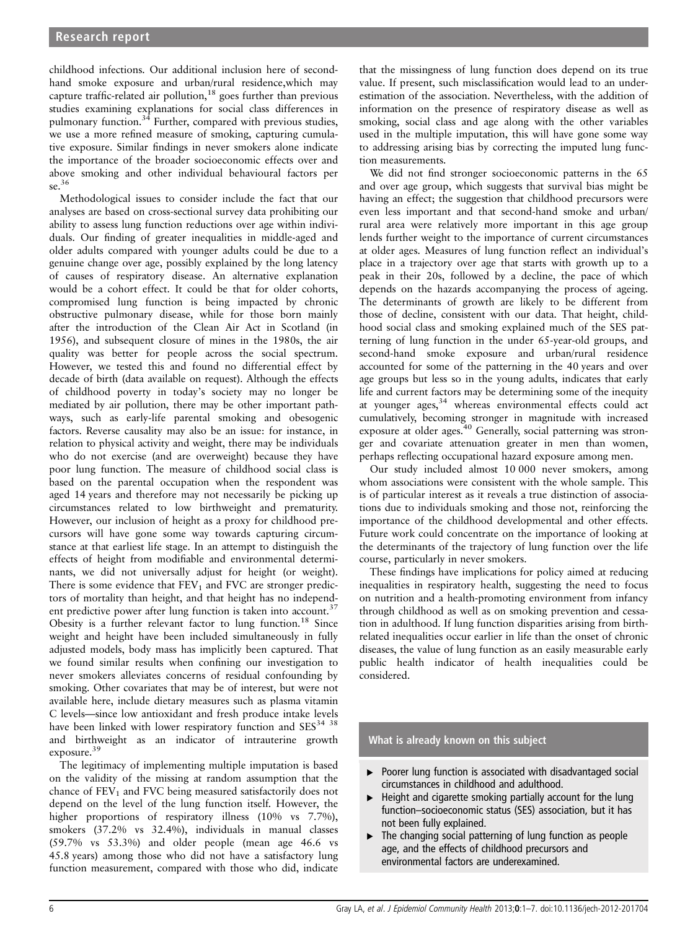childhood infections. Our additional inclusion here of secondhand smoke exposure and urban/rural residence,which may capture traffic-related air pollution, $18$  goes further than previous studies examining explanations for social class differences in pulmonary function.<sup>34</sup> Further, compared with previous studies, we use a more refined measure of smoking, capturing cumulative exposure. Similar findings in never smokers alone indicate the importance of the broader socioeconomic effects over and above smoking and other individual behavioural factors per se.36

Methodological issues to consider include the fact that our analyses are based on cross-sectional survey data prohibiting our ability to assess lung function reductions over age within individuals. Our finding of greater inequalities in middle-aged and older adults compared with younger adults could be due to a genuine change over age, possibly explained by the long latency of causes of respiratory disease. An alternative explanation would be a cohort effect. It could be that for older cohorts, compromised lung function is being impacted by chronic obstructive pulmonary disease, while for those born mainly after the introduction of the Clean Air Act in Scotland (in 1956), and subsequent closure of mines in the 1980s, the air quality was better for people across the social spectrum. However, we tested this and found no differential effect by decade of birth (data available on request). Although the effects of childhood poverty in today's society may no longer be mediated by air pollution, there may be other important pathways, such as early-life parental smoking and obesogenic factors. Reverse causality may also be an issue: for instance, in relation to physical activity and weight, there may be individuals who do not exercise (and are overweight) because they have poor lung function. The measure of childhood social class is based on the parental occupation when the respondent was aged 14 years and therefore may not necessarily be picking up circumstances related to low birthweight and prematurity. However, our inclusion of height as a proxy for childhood precursors will have gone some way towards capturing circumstance at that earliest life stage. In an attempt to distinguish the effects of height from modifiable and environmental determinants, we did not universally adjust for height (or weight). There is some evidence that  $FEV_1$  and  $FVC$  are stronger predictors of mortality than height, and that height has no independent predictive power after lung function is taken into account.<sup>37</sup> Obesity is a further relevant factor to lung function.<sup>18</sup> Since weight and height have been included simultaneously in fully adjusted models, body mass has implicitly been captured. That we found similar results when confining our investigation to never smokers alleviates concerns of residual confounding by smoking. Other covariates that may be of interest, but were not available here, include dietary measures such as plasma vitamin C levels—since low antioxidant and fresh produce intake levels have been linked with lower respiratory function and SES<sup>34</sup> 38 and birthweight as an indicator of intrauterine growth exposure.39

The legitimacy of implementing multiple imputation is based on the validity of the missing at random assumption that the chance of  $FEV<sub>1</sub>$  and FVC being measured satisfactorily does not depend on the level of the lung function itself. However, the higher proportions of respiratory illness (10% vs 7.7%), smokers (37.2% vs 32.4%), individuals in manual classes (59.7% vs 53.3%) and older people (mean age 46.6 vs 45.8 years) among those who did not have a satisfactory lung function measurement, compared with those who did, indicate

that the missingness of lung function does depend on its true value. If present, such misclassification would lead to an underestimation of the association. Nevertheless, with the addition of information on the presence of respiratory disease as well as smoking, social class and age along with the other variables used in the multiple imputation, this will have gone some way to addressing arising bias by correcting the imputed lung function measurements.

We did not find stronger socioeconomic patterns in the 65 and over age group, which suggests that survival bias might be having an effect; the suggestion that childhood precursors were even less important and that second-hand smoke and urban/ rural area were relatively more important in this age group lends further weight to the importance of current circumstances at older ages. Measures of lung function reflect an individual's place in a trajectory over age that starts with growth up to a peak in their 20s, followed by a decline, the pace of which depends on the hazards accompanying the process of ageing. The determinants of growth are likely to be different from those of decline, consistent with our data. That height, childhood social class and smoking explained much of the SES patterning of lung function in the under 65-year-old groups, and second-hand smoke exposure and urban/rural residence accounted for some of the patterning in the 40 years and over age groups but less so in the young adults, indicates that early life and current factors may be determining some of the inequity at younger ages,<sup>34</sup> whereas environmental effects could act cumulatively, becoming stronger in magnitude with increased exposure at older ages.<sup>40</sup> Generally, social patterning was stronger and covariate attenuation greater in men than women, perhaps reflecting occupational hazard exposure among men.

Our study included almost 10 000 never smokers, among whom associations were consistent with the whole sample. This is of particular interest as it reveals a true distinction of associations due to individuals smoking and those not, reinforcing the importance of the childhood developmental and other effects. Future work could concentrate on the importance of looking at the determinants of the trajectory of lung function over the life course, particularly in never smokers.

These findings have implications for policy aimed at reducing inequalities in respiratory health, suggesting the need to focus on nutrition and a health-promoting environment from infancy through childhood as well as on smoking prevention and cessation in adulthood. If lung function disparities arising from birthrelated inequalities occur earlier in life than the onset of chronic diseases, the value of lung function as an easily measurable early public health indicator of health inequalities could be considered.

#### What is already known on this subject

- ▸ Poorer lung function is associated with disadvantaged social circumstances in childhood and adulthood.
- $\blacktriangleright$  Height and cigarette smoking partially account for the lung function–socioeconomic status (SES) association, but it has not been fully explained.
- $\blacktriangleright$  The changing social patterning of lung function as people age, and the effects of childhood precursors and environmental factors are underexamined.